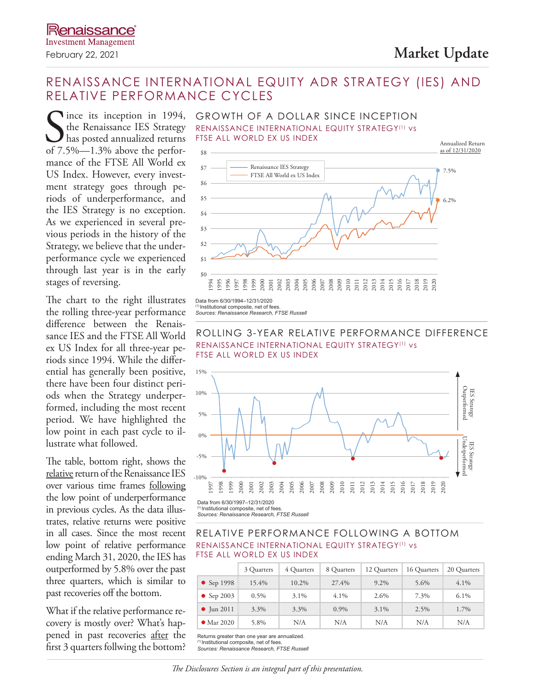# February 22, 2021 **Market Update**

# RENAISSANCE INTERNATIONAL EQUITY ADR STRATEGY (IES) AND RELATIVE PERFORMANCE CYCLES

Since its inception in 1994,<br>the Renaissance IES Strategy<br>has posted annualized returns<br>of 7.5%—1.3% above the perforlince its inception in 1994, the Renaissance IES Strategy has posted annualized returns mance of the FTSE All World ex US Index. However, every investment strategy goes through periods of underperformance, and the IES Strategy is no exception. As we experienced in several previous periods in the history of the Strategy, we believe that the underperformance cycle we experienced through last year is in the early stages of reversing.

The chart to the right illustrates the rolling three-year performance difference between the Renaissance IES and the FTSE All World ex US Index for all three-year periods since 1994. While the differential has generally been positive, there have been four distinct periods when the Strategy underperformed, including the most recent period. We have highlighted the low point in each past cycle to illustrate what followed.

The table, bottom right, shows the relative return of the Renaissance IES over various time frames following the low point of underperformance in previous cycles. As the data illustrates, relative returns were positive in all cases. Since the most recent low point of relative performance ending March 31, 2020, the IES has outperformed by 5.8% over the past three quarters, which is similar to past recoveries off the bottom.

What if the relative performance recovery is mostly over? What's happened in past recoveries after the first 3 quarters follwing the bottom?



Annualized Return as of 12/31/2020



(1) Institutional composite, net of fees. *Sources: Renaissance Research, FTSE Russell*

### ROLLING 3-YEAR RELATIVE PERFORMANCE DIFFERENCE RENAISSANCE INTERNATIONAL EQUITY STRATEGY(1) vs FTSE ALL WORLD EX US INDEX



Data from 6/30/1997–12/31/2020 (1) Institutional composite, net of fees. *Sources: Renaissance Research, FTSE Russell*

### RELATIVE PERFORMANCE FOLLOWING A BOTTOM RENAISSANCE INTERNATIONAL EQUITY STRATEGY(1) vs FTSE ALL WORLD EX US INDEX

|                    | 3 Quarters | 4 Quarters | 8 Quarters | 12 Quarters | 16 Quarters | 20 Quarters |
|--------------------|------------|------------|------------|-------------|-------------|-------------|
| $\bullet$ Sep 1998 | 15.4%      | 10.2%      | 27.4%      | $9.2\%$     | 5.6%        | $4.1\%$     |
| $\bullet$ Sep 2003 | $0.5\%$    | 3.1%       | 4.1%       | 2.6%        | 7.3%        | $6.1\%$     |
| $\bullet$ Jun 2011 | 3.3%       | 3.3%       | $0.9\%$    | $3.1\%$     | 2.5%        | 1.7%        |
| $\bullet$ Mar 2020 | 5.8%       | N/A        | N/A        | N/A         | N/A         | N/A         |

Returns greater than one year are annualized.

(1) Institutional composite, net of fees.

*Sources: Renaissance Research, FTSE Russell*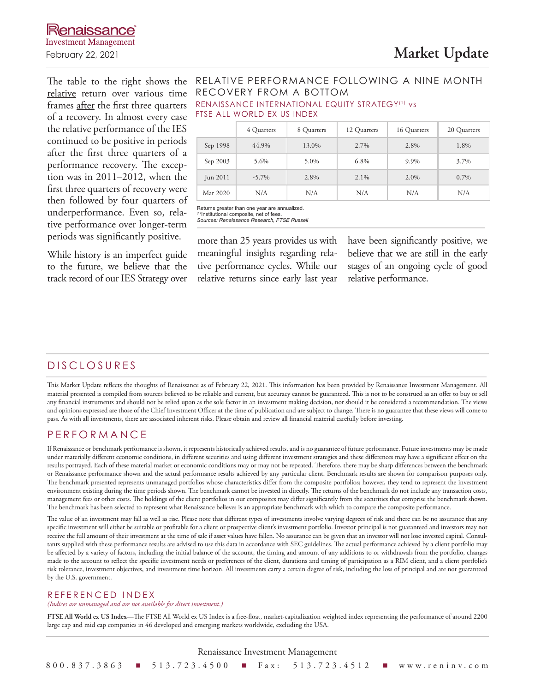relative return over various time frames after the first three quarters of a recovery. In almost every case the relative performance of the IES continued to be positive in periods after the first three quarters of a performance recovery. The exception was in 2011–2012, when the first three quarters of recovery were then followed by four quarters of underperformance. Even so, relative performance over longer-term periods was significantly positive.

While history is an imperfect guide to the future, we believe that the track record of our IES Strategy over

# The table to the right shows the RELATIVE PERFORMANCE FOLLOWING A NINE MONTH RECOVERY FROM A BOTTOM

RENAISSANCE INTERNATIONAL EQUITY STRATEGY(1) vs FTSE ALL WORLD EX US INDEX

|          | 4 Quarters | 8 Quarters | 12 Quarters | 16 Quarters | 20 Quarters |
|----------|------------|------------|-------------|-------------|-------------|
| Sep 1998 | 44.9%      | 13.0%      | 2.7%        | 2.8%        | 1.8%        |
| Sep 2003 | 5.6%       | 5.0%       | 6.8%        | 9.9%        | 3.7%        |
| Jun 2011 | $-5.7\%$   | 2.8%       | $2.1\%$     | 2.0%        | $0.7\%$     |
| Mar 2020 | N/A        | N/A        | N/A         | N/A         | N/A         |

Returns greater than one year are annualized. (1) Institutional composite, net of fees. *Sources: Renaissance Research, FTSE Russell*

more than 25 years provides us with meaningful insights regarding relative performance cycles. While our relative returns since early last year have been significantly positive, we believe that we are still in the early stages of an ongoing cycle of good relative performance.

# DISCLOSURES

This Market Update reflects the thoughts of Renaissance as of February 22, 2021. This information has been provided by Renaissance Investment Management. All material presented is compiled from sources believed to be reliable and current, but accuracy cannot be guaranteed. This is not to be construed as an offer to buy or sell any financial instruments and should not be relied upon as the sole factor in an investment making decision, nor should it be considered a recommendation. The views and opinions expressed are those of the Chief Investment Officer at the time of publication and are subject to change. There is no guarantee that these views will come to pass. As with all investments, there are associated inherent risks. Please obtain and review all financial material carefully before investing.

## PERFORMANCE

If Renaissance or benchmark performance is shown, it represents historically achieved results, and is no guarantee of future performance. Future investments may be made under materially different economic conditions, in different securities and using different investment strategies and these differences may have a significant effect on the results portrayed. Each of these material market or economic conditions may or may not be repeated. Therefore, there may be sharp differences between the benchmark or Renaissance performance shown and the actual performance results achieved by any particular client. Benchmark results are shown for comparison purposes only. The benchmark presented represents unmanaged portfolios whose characteristics differ from the composite portfolios; however, they tend to represent the investment environment existing during the time periods shown. The benchmark cannot be invested in directly. The returns of the benchmark do not include any transaction costs, management fees or other costs. The holdings of the client portfolios in our composites may differ significantly from the securities that comprise the benchmark shown. The benchmark has been selected to represent what Renaissance believes is an appropriate benchmark with which to compare the composite performance.

The value of an investment may fall as well as rise. Please note that different types of investments involve varying degrees of risk and there can be no assurance that any specific investment will either be suitable or profitable for a client or prospective client's investment portfolio. Investor principal is not guaranteed and investors may not receive the full amount of their investment at the time of sale if asset values have fallen. No assurance can be given that an investor will not lose invested capital. Consultants supplied with these performance results are advised to use this data in accordance with SEC guidelines. The actual performance achieved by a client portfolio may be affected by a variety of factors, including the initial balance of the account, the timing and amount of any additions to or withdrawals from the portfolio, changes made to the account to reflect the specific investment needs or preferences of the client, durations and timing of participation as a RIM client, and a client portfolio's risk tolerance, investment objectives, and investment time horizon. All investments carry a certain degree of risk, including the loss of principal and are not guaranteed by the U.S. government.

#### REFERENCED INDEX

#### *(Indices are unmanaged and are not available for direct investment.)*

**FTSE All World ex US Index—**The FTSE All World ex US Index is a free-float, market-capitalization weighted index representing the performance of around 2200 large cap and mid cap companies in 46 developed and emerging markets worldwide, excluding the USA.

Renaissance Investment Management 800.837.3863 n 513.723.4500 n Fax: 513.723.4512 n www.reninv.com